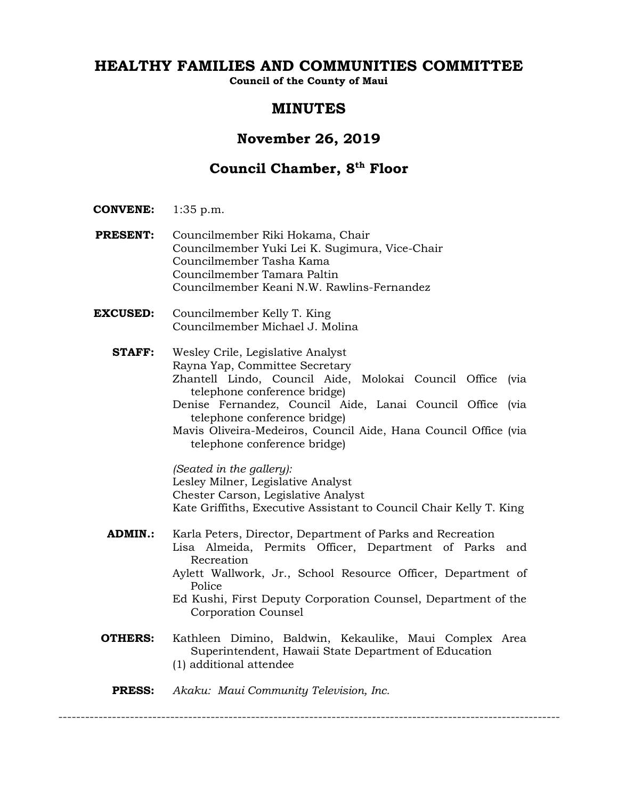# **HEALTHY FAMILIES AND COMMUNITIES COMMITTEE**

**Council of the County of Maui**

## **MINUTES**

## **November 26, 2019**

# **Council Chamber, 8th Floor**

- **CONVENE:** 1:35 p.m.
- **PRESENT:** Councilmember Riki Hokama, Chair Councilmember Yuki Lei K. Sugimura, Vice-Chair Councilmember Tasha Kama Councilmember Tamara Paltin Councilmember Keani N.W. Rawlins-Fernandez
- **EXCUSED:** Councilmember Kelly T. King Councilmember Michael J. Molina
	- **STAFF:** Wesley Crile, Legislative Analyst Rayna Yap, Committee Secretary Zhantell Lindo, Council Aide, Molokai Council Office (via telephone conference bridge) Denise Fernandez, Council Aide, Lanai Council Office (via telephone conference bridge) Mavis Oliveira-Medeiros, Council Aide, Hana Council Office (via telephone conference bridge)

*(Seated in the gallery):* Lesley Milner, Legislative Analyst Chester Carson, Legislative Analyst Kate Griffiths, Executive Assistant to Council Chair Kelly T. King

- **ADMIN.:** Karla Peters, Director, Department of Parks and Recreation Lisa Almeida, Permits Officer, Department of Parks and Recreation Aylett Wallwork, Jr., School Resource Officer, Department of
	- Police Ed Kushi, First Deputy Corporation Counsel, Department of the Corporation Counsel
- **OTHERS:** Kathleen Dimino, Baldwin, Kekaulike, Maui Complex Area Superintendent, Hawaii State Department of Education (1) additional attendee
	- **PRESS:** *Akaku: Maui Community Television, Inc.*

----------------------------------------------------------------------------------------------------------------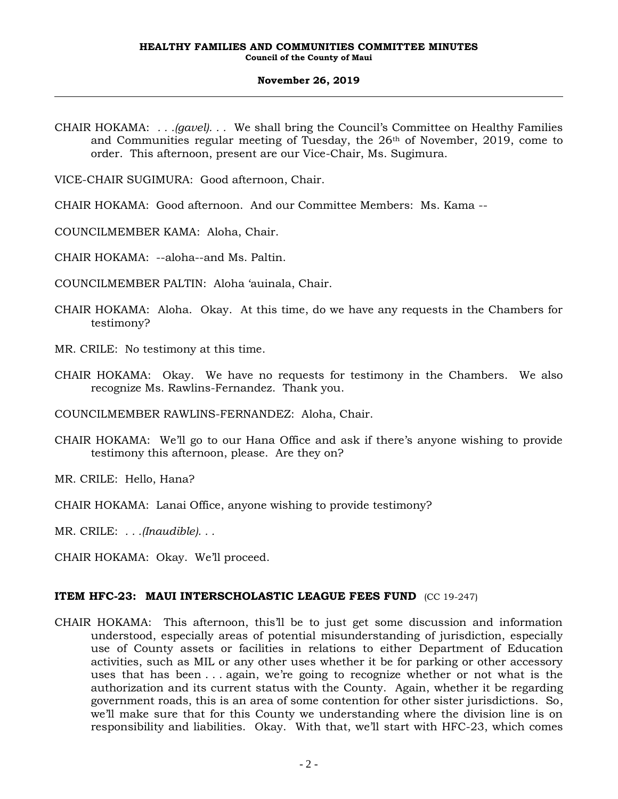CHAIR HOKAMA: *. . .(gavel). . .* We shall bring the Council's Committee on Healthy Families and Communities regular meeting of Tuesday, the  $26<sup>th</sup>$  of November, 2019, come to order. This afternoon, present are our Vice-Chair, Ms. Sugimura.

VICE-CHAIR SUGIMURA: Good afternoon, Chair.

CHAIR HOKAMA: Good afternoon. And our Committee Members: Ms. Kama --

COUNCILMEMBER KAMA: Aloha, Chair.

CHAIR HOKAMA: --aloha--and Ms. Paltin.

COUNCILMEMBER PALTIN: Aloha 'auinala, Chair.

- CHAIR HOKAMA: Aloha. Okay. At this time, do we have any requests in the Chambers for testimony?
- MR. CRILE: No testimony at this time.
- CHAIR HOKAMA: Okay. We have no requests for testimony in the Chambers. We also recognize Ms. Rawlins-Fernandez. Thank you.

COUNCILMEMBER RAWLINS-FERNANDEZ: Aloha, Chair.

CHAIR HOKAMA: We'll go to our Hana Office and ask if there's anyone wishing to provide testimony this afternoon, please. Are they on?

MR. CRILE: Hello, Hana?

CHAIR HOKAMA: Lanai Office, anyone wishing to provide testimony?

MR. CRILE: *. . .(Inaudible). . .*

CHAIR HOKAMA: Okay. We'll proceed.

### **ITEM HFC-23: MAUI INTERSCHOLASTIC LEAGUE FEES FUND** (CC 19-247)

CHAIR HOKAMA: This afternoon, this'll be to just get some discussion and information understood, especially areas of potential misunderstanding of jurisdiction, especially use of County assets or facilities in relations to either Department of Education activities, such as MIL or any other uses whether it be for parking or other accessory uses that has been . . . again, we're going to recognize whether or not what is the authorization and its current status with the County. Again, whether it be regarding government roads, this is an area of some contention for other sister jurisdictions. So, we'll make sure that for this County we understanding where the division line is on responsibility and liabilities. Okay. With that, we'll start with HFC-23, which comes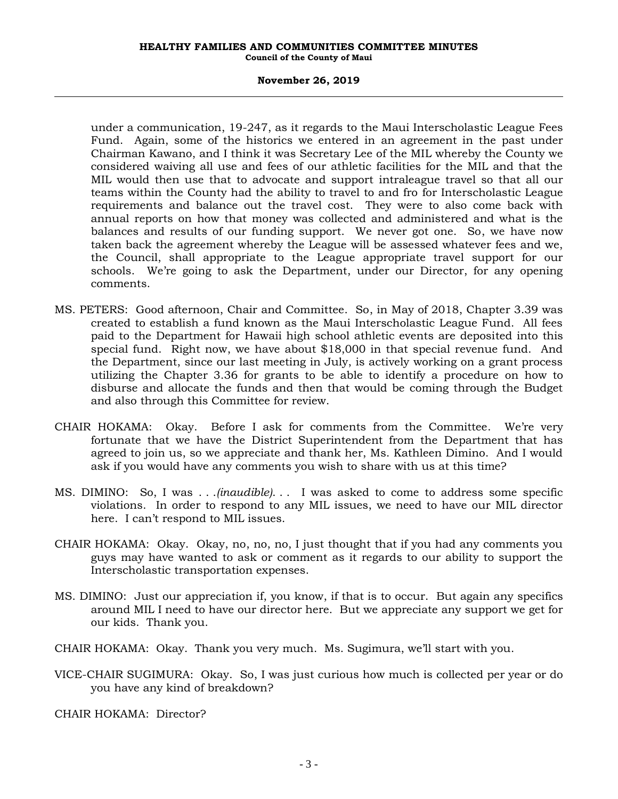#### **HEALTHY FAMILIES AND COMMUNITIES COMMITTEE MINUTES Council of the County of Maui**

#### **November 26, 2019**

under a communication, 19-247, as it regards to the Maui Interscholastic League Fees Fund. Again, some of the historics we entered in an agreement in the past under Chairman Kawano, and I think it was Secretary Lee of the MIL whereby the County we considered waiving all use and fees of our athletic facilities for the MIL and that the MIL would then use that to advocate and support intraleague travel so that all our teams within the County had the ability to travel to and fro for Interscholastic League requirements and balance out the travel cost. They were to also come back with annual reports on how that money was collected and administered and what is the balances and results of our funding support. We never got one. So, we have now taken back the agreement whereby the League will be assessed whatever fees and we, the Council, shall appropriate to the League appropriate travel support for our schools. We're going to ask the Department, under our Director, for any opening comments.

- MS. PETERS: Good afternoon, Chair and Committee. So, in May of 2018, Chapter 3.39 was created to establish a fund known as the Maui Interscholastic League Fund. All fees paid to the Department for Hawaii high school athletic events are deposited into this special fund. Right now, we have about \$18,000 in that special revenue fund. And the Department, since our last meeting in July, is actively working on a grant process utilizing the Chapter 3.36 for grants to be able to identify a procedure on how to disburse and allocate the funds and then that would be coming through the Budget and also through this Committee for review.
- CHAIR HOKAMA: Okay. Before I ask for comments from the Committee. We're very fortunate that we have the District Superintendent from the Department that has agreed to join us, so we appreciate and thank her, Ms. Kathleen Dimino. And I would ask if you would have any comments you wish to share with us at this time?
- MS. DIMINO: So, I was . . .*(inaudible)*. . . I was asked to come to address some specific violations. In order to respond to any MIL issues, we need to have our MIL director here. I can't respond to MIL issues.
- CHAIR HOKAMA: Okay. Okay, no, no, no, I just thought that if you had any comments you guys may have wanted to ask or comment as it regards to our ability to support the Interscholastic transportation expenses.
- MS. DIMINO: Just our appreciation if, you know, if that is to occur. But again any specifics around MIL I need to have our director here. But we appreciate any support we get for our kids. Thank you.
- CHAIR HOKAMA: Okay. Thank you very much. Ms. Sugimura, we'll start with you.
- VICE-CHAIR SUGIMURA: Okay. So, I was just curious how much is collected per year or do you have any kind of breakdown?

CHAIR HOKAMA: Director?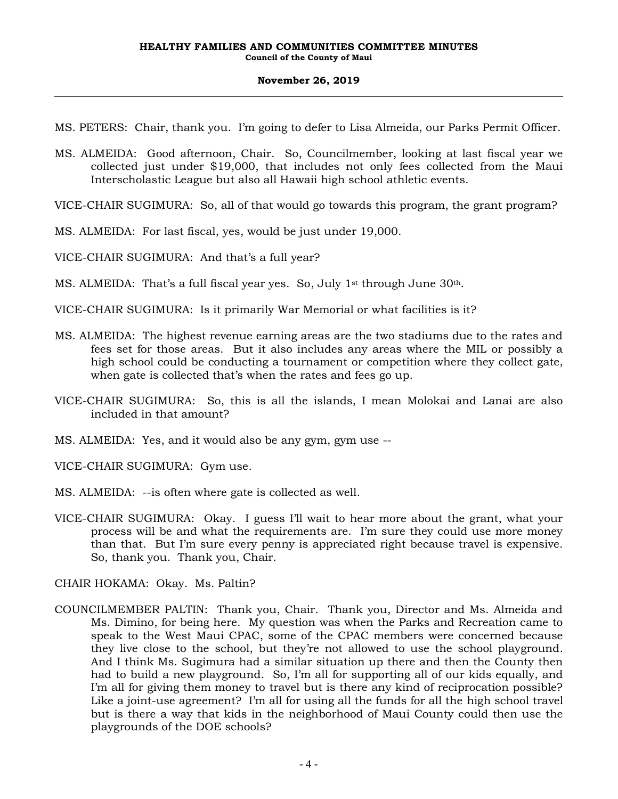MS. PETERS: Chair, thank you. I'm going to defer to Lisa Almeida, our Parks Permit Officer.

MS. ALMEIDA: Good afternoon, Chair. So, Councilmember, looking at last fiscal year we collected just under \$19,000, that includes not only fees collected from the Maui Interscholastic League but also all Hawaii high school athletic events.

VICE-CHAIR SUGIMURA: So, all of that would go towards this program, the grant program?

MS. ALMEIDA: For last fiscal, yes, would be just under 19,000.

VICE-CHAIR SUGIMURA: And that's a full year?

MS. ALMEIDA: That's a full fiscal year yes. So, July 1<sup>st</sup> through June  $30<sup>th</sup>$ .

VICE-CHAIR SUGIMURA: Is it primarily War Memorial or what facilities is it?

- MS. ALMEIDA: The highest revenue earning areas are the two stadiums due to the rates and fees set for those areas. But it also includes any areas where the MIL or possibly a high school could be conducting a tournament or competition where they collect gate, when gate is collected that's when the rates and fees go up.
- VICE-CHAIR SUGIMURA: So, this is all the islands, I mean Molokai and Lanai are also included in that amount?
- MS. ALMEIDA: Yes, and it would also be any gym, gym use --

VICE-CHAIR SUGIMURA: Gym use.

- MS. ALMEIDA: --is often where gate is collected as well.
- VICE-CHAIR SUGIMURA: Okay. I guess I'll wait to hear more about the grant, what your process will be and what the requirements are. I'm sure they could use more money than that. But I'm sure every penny is appreciated right because travel is expensive. So, thank you. Thank you, Chair.

CHAIR HOKAMA: Okay. Ms. Paltin?

COUNCILMEMBER PALTIN: Thank you, Chair. Thank you, Director and Ms. Almeida and Ms. Dimino, for being here. My question was when the Parks and Recreation came to speak to the West Maui CPAC, some of the CPAC members were concerned because they live close to the school, but they're not allowed to use the school playground. And I think Ms. Sugimura had a similar situation up there and then the County then had to build a new playground. So, I'm all for supporting all of our kids equally, and I'm all for giving them money to travel but is there any kind of reciprocation possible? Like a joint-use agreement? I'm all for using all the funds for all the high school travel but is there a way that kids in the neighborhood of Maui County could then use the playgrounds of the DOE schools?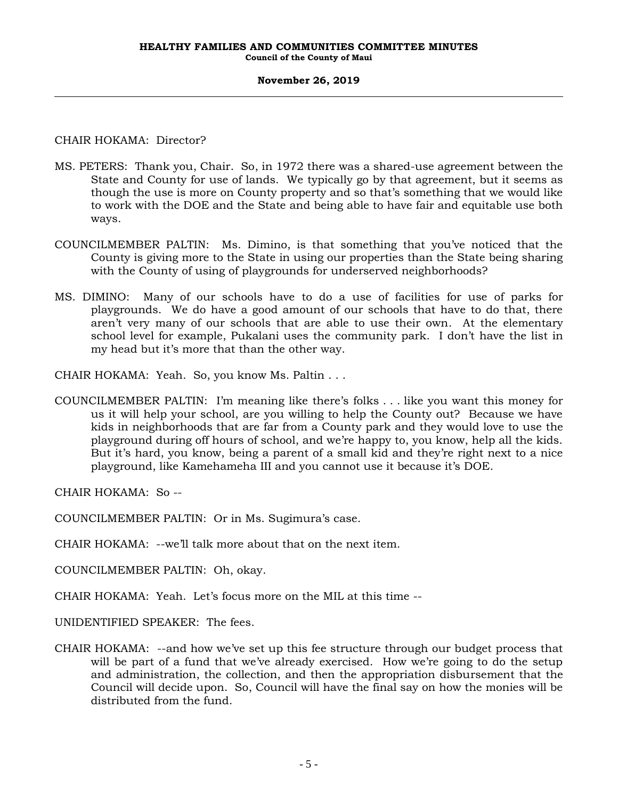CHAIR HOKAMA: Director?

- MS. PETERS: Thank you, Chair. So, in 1972 there was a shared-use agreement between the State and County for use of lands. We typically go by that agreement, but it seems as though the use is more on County property and so that's something that we would like to work with the DOE and the State and being able to have fair and equitable use both ways.
- COUNCILMEMBER PALTIN: Ms. Dimino, is that something that you've noticed that the County is giving more to the State in using our properties than the State being sharing with the County of using of playgrounds for underserved neighborhoods?
- MS. DIMINO: Many of our schools have to do a use of facilities for use of parks for playgrounds. We do have a good amount of our schools that have to do that, there aren't very many of our schools that are able to use their own. At the elementary school level for example, Pukalani uses the community park. I don't have the list in my head but it's more that than the other way.

CHAIR HOKAMA: Yeah. So, you know Ms. Paltin . . .

COUNCILMEMBER PALTIN: I'm meaning like there's folks . . . like you want this money for us it will help your school, are you willing to help the County out? Because we have kids in neighborhoods that are far from a County park and they would love to use the playground during off hours of school, and we're happy to, you know, help all the kids. But it's hard, you know, being a parent of a small kid and they're right next to a nice playground, like Kamehameha III and you cannot use it because it's DOE.

CHAIR HOKAMA: So --

COUNCILMEMBER PALTIN: Or in Ms. Sugimura's case.

CHAIR HOKAMA: --we'll talk more about that on the next item.

COUNCILMEMBER PALTIN: Oh, okay.

CHAIR HOKAMA: Yeah. Let's focus more on the MIL at this time --

UNIDENTIFIED SPEAKER: The fees.

CHAIR HOKAMA: --and how we've set up this fee structure through our budget process that will be part of a fund that we've already exercised. How we're going to do the setup and administration, the collection, and then the appropriation disbursement that the Council will decide upon. So, Council will have the final say on how the monies will be distributed from the fund.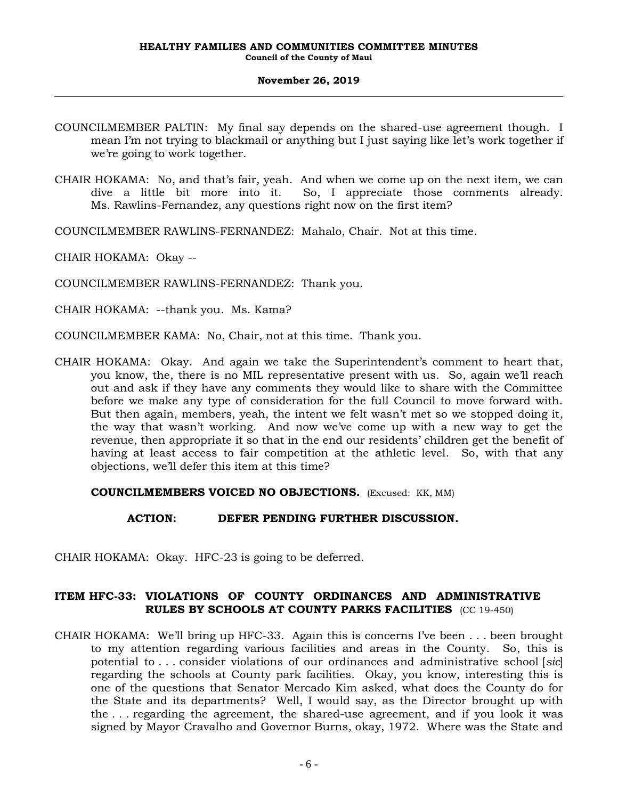- COUNCILMEMBER PALTIN: My final say depends on the shared-use agreement though. I mean I'm not trying to blackmail or anything but I just saying like let's work together if we're going to work together.
- CHAIR HOKAMA: No, and that's fair, yeah. And when we come up on the next item, we can dive a little bit more into it. So, I appreciate those comments already. Ms. Rawlins-Fernandez, any questions right now on the first item?

COUNCILMEMBER RAWLINS-FERNANDEZ: Mahalo, Chair. Not at this time.

CHAIR HOKAMA: Okay --

COUNCILMEMBER RAWLINS-FERNANDEZ: Thank you.

CHAIR HOKAMA: --thank you. Ms. Kama?

COUNCILMEMBER KAMA: No, Chair, not at this time. Thank you.

CHAIR HOKAMA: Okay. And again we take the Superintendent's comment to heart that, you know, the, there is no MIL representative present with us. So, again we'll reach out and ask if they have any comments they would like to share with the Committee before we make any type of consideration for the full Council to move forward with. But then again, members, yeah, the intent we felt wasn't met so we stopped doing it, the way that wasn't working. And now we've come up with a new way to get the revenue, then appropriate it so that in the end our residents' children get the benefit of having at least access to fair competition at the athletic level. So, with that any objections, we'll defer this item at this time?

## **COUNCILMEMBERS VOICED NO OBJECTIONS.** (Excused: KK, MM)

## **ACTION: DEFER PENDING FURTHER DISCUSSION.**

CHAIR HOKAMA: Okay. HFC-23 is going to be deferred.

## **ITEM HFC-33: VIOLATIONS OF COUNTY ORDINANCES AND ADMINISTRATIVE RULES BY SCHOOLS AT COUNTY PARKS FACILITIES** (CC 19-450)

CHAIR HOKAMA: We'll bring up HFC-33. Again this is concerns I've been . . . been brought to my attention regarding various facilities and areas in the County. So, this is potential to . . . consider violations of our ordinances and administrative school [*sic*] regarding the schools at County park facilities. Okay, you know, interesting this is one of the questions that Senator Mercado Kim asked, what does the County do for the State and its departments? Well, I would say, as the Director brought up with the . . . regarding the agreement, the shared-use agreement, and if you look it was signed by Mayor Cravalho and Governor Burns, okay, 1972. Where was the State and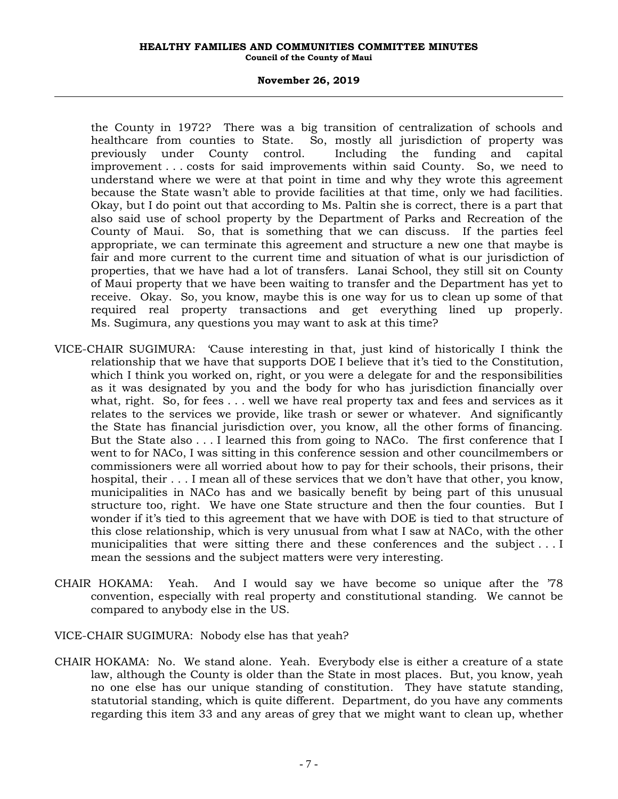#### **HEALTHY FAMILIES AND COMMUNITIES COMMITTEE MINUTES Council of the County of Maui**

#### **November 26, 2019**

the County in 1972? There was a big transition of centralization of schools and healthcare from counties to State. So, mostly all jurisdiction of property was previously under County control. Including the funding and capital improvement . . . costs for said improvements within said County. So, we need to understand where we were at that point in time and why they wrote this agreement because the State wasn't able to provide facilities at that time, only we had facilities. Okay, but I do point out that according to Ms. Paltin she is correct, there is a part that also said use of school property by the Department of Parks and Recreation of the County of Maui. So, that is something that we can discuss. If the parties feel appropriate, we can terminate this agreement and structure a new one that maybe is fair and more current to the current time and situation of what is our jurisdiction of properties, that we have had a lot of transfers. Lanai School, they still sit on County of Maui property that we have been waiting to transfer and the Department has yet to receive. Okay. So, you know, maybe this is one way for us to clean up some of that required real property transactions and get everything lined up properly. Ms. Sugimura, any questions you may want to ask at this time?

- VICE-CHAIR SUGIMURA: 'Cause interesting in that, just kind of historically I think the relationship that we have that supports DOE I believe that it's tied to the Constitution, which I think you worked on, right, or you were a delegate for and the responsibilities as it was designated by you and the body for who has jurisdiction financially over what, right. So, for fees . . . well we have real property tax and fees and services as it relates to the services we provide, like trash or sewer or whatever. And significantly the State has financial jurisdiction over, you know, all the other forms of financing. But the State also . . . I learned this from going to NACo. The first conference that I went to for NACo, I was sitting in this conference session and other councilmembers or commissioners were all worried about how to pay for their schools, their prisons, their hospital, their . . . I mean all of these services that we don't have that other, you know, municipalities in NACo has and we basically benefit by being part of this unusual structure too, right. We have one State structure and then the four counties. But I wonder if it's tied to this agreement that we have with DOE is tied to that structure of this close relationship, which is very unusual from what I saw at NACo, with the other municipalities that were sitting there and these conferences and the subject . . . I mean the sessions and the subject matters were very interesting.
- CHAIR HOKAMA: Yeah. And I would say we have become so unique after the '78 convention, especially with real property and constitutional standing. We cannot be compared to anybody else in the US.
- VICE-CHAIR SUGIMURA: Nobody else has that yeah?
- CHAIR HOKAMA: No. We stand alone. Yeah. Everybody else is either a creature of a state law, although the County is older than the State in most places. But, you know, yeah no one else has our unique standing of constitution. They have statute standing, statutorial standing, which is quite different. Department, do you have any comments regarding this item 33 and any areas of grey that we might want to clean up, whether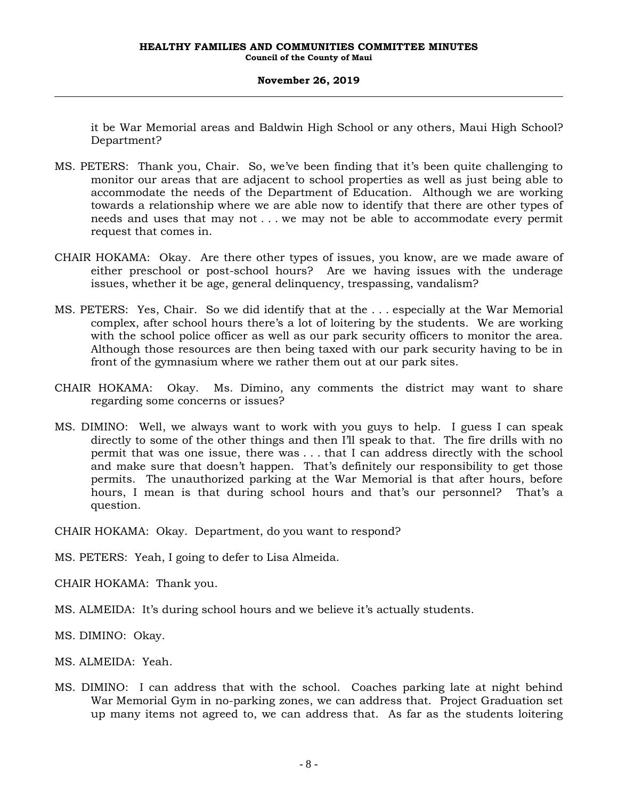it be War Memorial areas and Baldwin High School or any others, Maui High School? Department?

- MS. PETERS: Thank you, Chair. So, we've been finding that it's been quite challenging to monitor our areas that are adjacent to school properties as well as just being able to accommodate the needs of the Department of Education. Although we are working towards a relationship where we are able now to identify that there are other types of needs and uses that may not . . . we may not be able to accommodate every permit request that comes in.
- CHAIR HOKAMA: Okay. Are there other types of issues, you know, are we made aware of either preschool or post-school hours? Are we having issues with the underage issues, whether it be age, general delinquency, trespassing, vandalism?
- MS. PETERS: Yes, Chair. So we did identify that at the . . . especially at the War Memorial complex, after school hours there's a lot of loitering by the students. We are working with the school police officer as well as our park security officers to monitor the area. Although those resources are then being taxed with our park security having to be in front of the gymnasium where we rather them out at our park sites.
- CHAIR HOKAMA: Okay. Ms. Dimino, any comments the district may want to share regarding some concerns or issues?
- MS. DIMINO: Well, we always want to work with you guys to help. I guess I can speak directly to some of the other things and then I'll speak to that. The fire drills with no permit that was one issue, there was . . . that I can address directly with the school and make sure that doesn't happen. That's definitely our responsibility to get those permits. The unauthorized parking at the War Memorial is that after hours, before hours, I mean is that during school hours and that's our personnel? That's a question.

CHAIR HOKAMA: Okay. Department, do you want to respond?

MS. PETERS: Yeah, I going to defer to Lisa Almeida.

CHAIR HOKAMA: Thank you.

- MS. ALMEIDA: It's during school hours and we believe it's actually students.
- MS. DIMINO: Okay.
- MS. ALMEIDA: Yeah.
- MS. DIMINO: I can address that with the school. Coaches parking late at night behind War Memorial Gym in no-parking zones, we can address that. Project Graduation set up many items not agreed to, we can address that. As far as the students loitering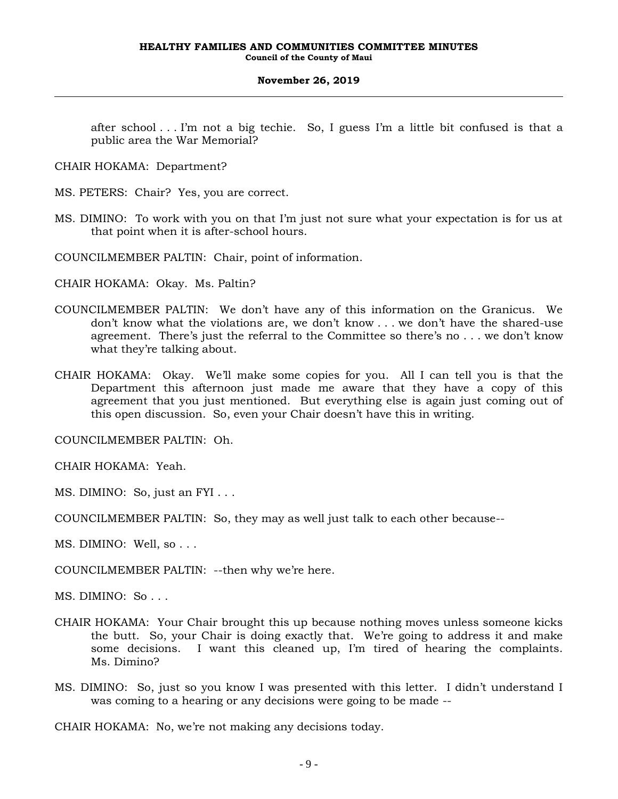after school . . . I'm not a big techie. So, I guess I'm a little bit confused is that a public area the War Memorial?

- CHAIR HOKAMA: Department?
- MS. PETERS: Chair? Yes, you are correct.
- MS. DIMINO: To work with you on that I'm just not sure what your expectation is for us at that point when it is after-school hours.
- COUNCILMEMBER PALTIN: Chair, point of information.
- CHAIR HOKAMA: Okay. Ms. Paltin?
- COUNCILMEMBER PALTIN: We don't have any of this information on the Granicus. We don't know what the violations are, we don't know . . . we don't have the shared-use agreement. There's just the referral to the Committee so there's no . . . we don't know what they're talking about.
- CHAIR HOKAMA: Okay. We'll make some copies for you. All I can tell you is that the Department this afternoon just made me aware that they have a copy of this agreement that you just mentioned. But everything else is again just coming out of this open discussion. So, even your Chair doesn't have this in writing.

COUNCILMEMBER PALTIN: Oh.

CHAIR HOKAMA: Yeah.

- MS. DIMINO: So, just an FYI . . .
- COUNCILMEMBER PALTIN: So, they may as well just talk to each other because--
- MS. DIMINO: Well, so . . .

COUNCILMEMBER PALTIN: --then why we're here.

MS. DIMINO: So . . .

- CHAIR HOKAMA: Your Chair brought this up because nothing moves unless someone kicks the butt. So, your Chair is doing exactly that. We're going to address it and make some decisions. I want this cleaned up, I'm tired of hearing the complaints. Ms. Dimino?
- MS. DIMINO: So, just so you know I was presented with this letter. I didn't understand I was coming to a hearing or any decisions were going to be made --

CHAIR HOKAMA: No, we're not making any decisions today.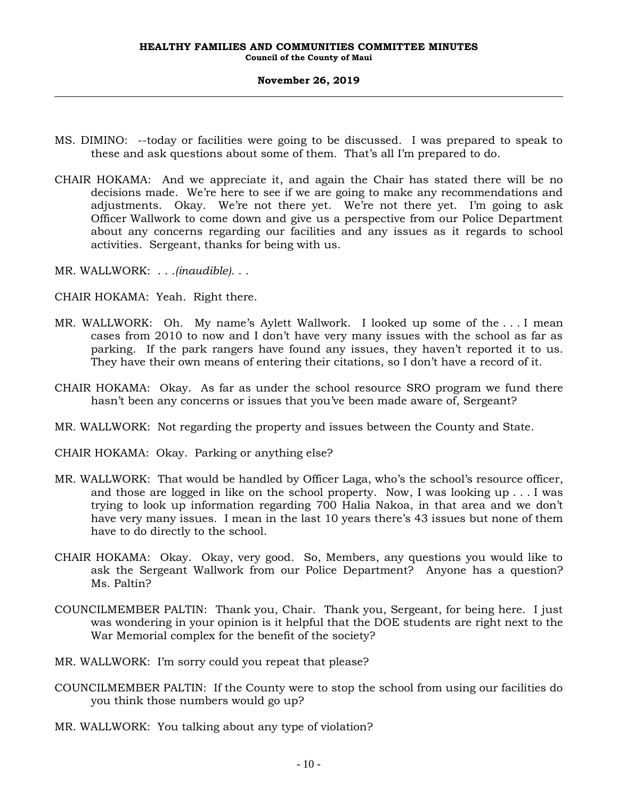- MS. DIMINO: --today or facilities were going to be discussed. I was prepared to speak to these and ask questions about some of them. That's all I'm prepared to do.
- CHAIR HOKAMA: And we appreciate it, and again the Chair has stated there will be no decisions made. We're here to see if we are going to make any recommendations and adjustments. Okay. We're not there yet. We're not there yet. I'm going to ask Officer Wallwork to come down and give us a perspective from our Police Department about any concerns regarding our facilities and any issues as it regards to school activities. Sergeant, thanks for being with us.
- MR. WALLWORK: . . .*(inaudible)*. . .
- CHAIR HOKAMA: Yeah. Right there.
- MR. WALLWORK: Oh. My name's Aylett Wallwork. I looked up some of the . . . I mean cases from 2010 to now and I don't have very many issues with the school as far as parking. If the park rangers have found any issues, they haven't reported it to us. They have their own means of entering their citations, so I don't have a record of it.
- CHAIR HOKAMA: Okay. As far as under the school resource SRO program we fund there hasn't been any concerns or issues that you've been made aware of, Sergeant?
- MR. WALLWORK: Not regarding the property and issues between the County and State.

CHAIR HOKAMA: Okay. Parking or anything else?

- MR. WALLWORK: That would be handled by Officer Laga, who's the school's resource officer, and those are logged in like on the school property. Now, I was looking up . . . I was trying to look up information regarding 700 Halia Nakoa, in that area and we don't have very many issues. I mean in the last 10 years there's 43 issues but none of them have to do directly to the school.
- CHAIR HOKAMA: Okay. Okay, very good. So, Members, any questions you would like to ask the Sergeant Wallwork from our Police Department? Anyone has a question? Ms. Paltin?
- COUNCILMEMBER PALTIN: Thank you, Chair. Thank you, Sergeant, for being here. I just was wondering in your opinion is it helpful that the DOE students are right next to the War Memorial complex for the benefit of the society?
- MR. WALLWORK: I'm sorry could you repeat that please?
- COUNCILMEMBER PALTIN: If the County were to stop the school from using our facilities do you think those numbers would go up?
- MR. WALLWORK: You talking about any type of violation?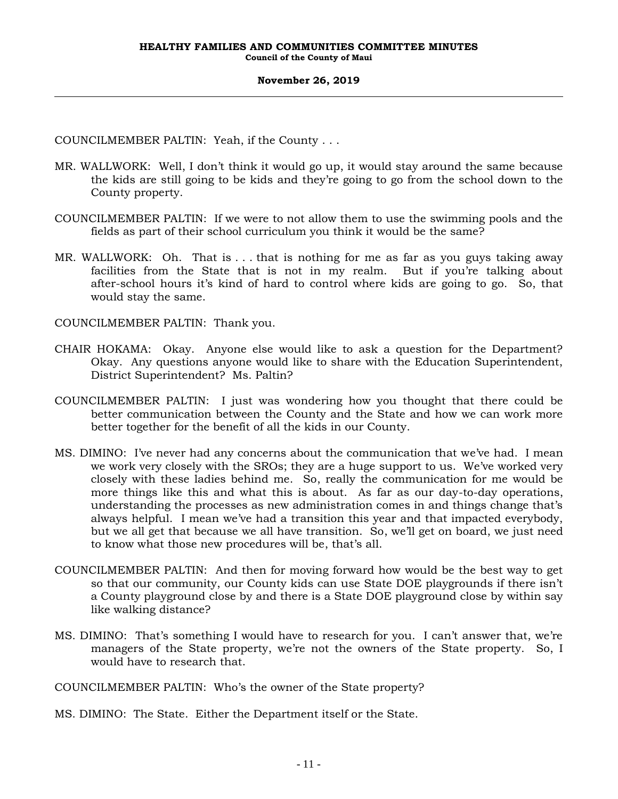COUNCILMEMBER PALTIN: Yeah, if the County . . .

- MR. WALLWORK: Well, I don't think it would go up, it would stay around the same because the kids are still going to be kids and they're going to go from the school down to the County property.
- COUNCILMEMBER PALTIN: If we were to not allow them to use the swimming pools and the fields as part of their school curriculum you think it would be the same?
- MR. WALLWORK: Oh. That is . . . that is nothing for me as far as you guys taking away facilities from the State that is not in my realm. But if you're talking about after-school hours it's kind of hard to control where kids are going to go. So, that would stay the same.

COUNCILMEMBER PALTIN: Thank you.

- CHAIR HOKAMA: Okay. Anyone else would like to ask a question for the Department? Okay. Any questions anyone would like to share with the Education Superintendent, District Superintendent? Ms. Paltin?
- COUNCILMEMBER PALTIN: I just was wondering how you thought that there could be better communication between the County and the State and how we can work more better together for the benefit of all the kids in our County.
- MS. DIMINO: I've never had any concerns about the communication that we've had. I mean we work very closely with the SROs; they are a huge support to us. We've worked very closely with these ladies behind me. So, really the communication for me would be more things like this and what this is about. As far as our day-to-day operations, understanding the processes as new administration comes in and things change that's always helpful. I mean we've had a transition this year and that impacted everybody, but we all get that because we all have transition. So, we'll get on board, we just need to know what those new procedures will be, that's all.
- COUNCILMEMBER PALTIN: And then for moving forward how would be the best way to get so that our community, our County kids can use State DOE playgrounds if there isn't a County playground close by and there is a State DOE playground close by within say like walking distance?
- MS. DIMINO: That's something I would have to research for you. I can't answer that, we're managers of the State property, we're not the owners of the State property. So, I would have to research that.

COUNCILMEMBER PALTIN: Who's the owner of the State property?

MS. DIMINO: The State. Either the Department itself or the State.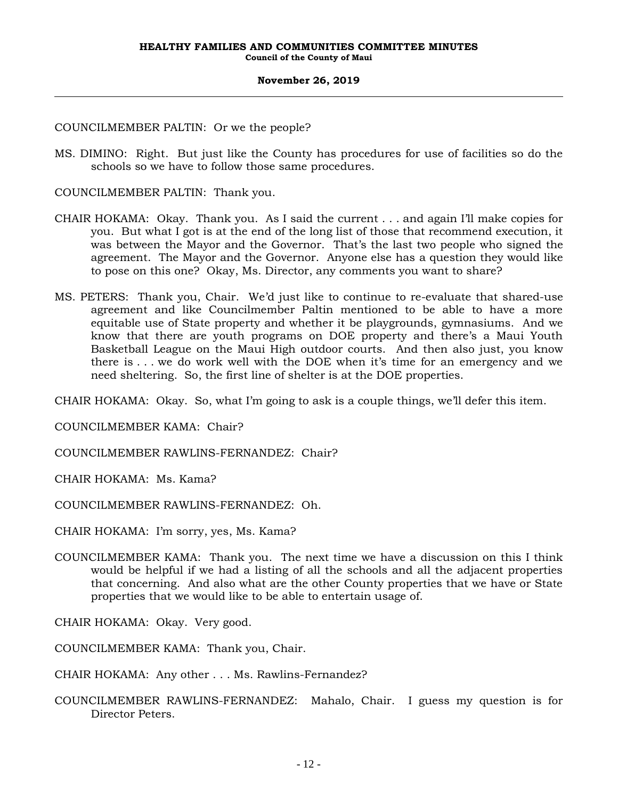### COUNCILMEMBER PALTIN: Or we the people?

MS. DIMINO: Right. But just like the County has procedures for use of facilities so do the schools so we have to follow those same procedures.

COUNCILMEMBER PALTIN: Thank you.

- CHAIR HOKAMA: Okay. Thank you. As I said the current . . . and again I'll make copies for you. But what I got is at the end of the long list of those that recommend execution, it was between the Mayor and the Governor. That's the last two people who signed the agreement. The Mayor and the Governor. Anyone else has a question they would like to pose on this one? Okay, Ms. Director, any comments you want to share?
- MS. PETERS: Thank you, Chair. We'd just like to continue to re-evaluate that shared-use agreement and like Councilmember Paltin mentioned to be able to have a more equitable use of State property and whether it be playgrounds, gymnasiums. And we know that there are youth programs on DOE property and there's a Maui Youth Basketball League on the Maui High outdoor courts. And then also just, you know there is . . . we do work well with the DOE when it's time for an emergency and we need sheltering. So, the first line of shelter is at the DOE properties.

CHAIR HOKAMA: Okay. So, what I'm going to ask is a couple things, we'll defer this item.

COUNCILMEMBER KAMA: Chair?

COUNCILMEMBER RAWLINS-FERNANDEZ: Chair?

CHAIR HOKAMA: Ms. Kama?

COUNCILMEMBER RAWLINS-FERNANDEZ: Oh.

CHAIR HOKAMA: I'm sorry, yes, Ms. Kama?

COUNCILMEMBER KAMA: Thank you. The next time we have a discussion on this I think would be helpful if we had a listing of all the schools and all the adjacent properties that concerning. And also what are the other County properties that we have or State properties that we would like to be able to entertain usage of.

CHAIR HOKAMA: Okay. Very good.

COUNCILMEMBER KAMA: Thank you, Chair.

CHAIR HOKAMA: Any other . . . Ms. Rawlins-Fernandez?

COUNCILMEMBER RAWLINS-FERNANDEZ: Mahalo, Chair. I guess my question is for Director Peters.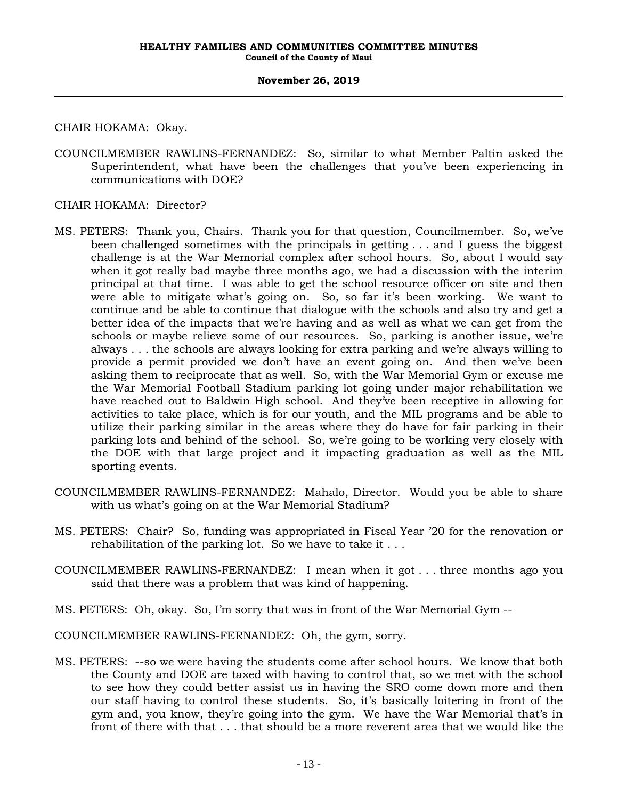CHAIR HOKAMA: Okay.

COUNCILMEMBER RAWLINS-FERNANDEZ: So, similar to what Member Paltin asked the Superintendent, what have been the challenges that you've been experiencing in communications with DOE?

CHAIR HOKAMA: Director?

- MS. PETERS: Thank you, Chairs. Thank you for that question, Councilmember. So, we've been challenged sometimes with the principals in getting . . . and I guess the biggest challenge is at the War Memorial complex after school hours. So, about I would say when it got really bad maybe three months ago, we had a discussion with the interim principal at that time. I was able to get the school resource officer on site and then were able to mitigate what's going on. So, so far it's been working. We want to continue and be able to continue that dialogue with the schools and also try and get a better idea of the impacts that we're having and as well as what we can get from the schools or maybe relieve some of our resources. So, parking is another issue, we're always . . . the schools are always looking for extra parking and we're always willing to provide a permit provided we don't have an event going on. And then we've been asking them to reciprocate that as well. So, with the War Memorial Gym or excuse me the War Memorial Football Stadium parking lot going under major rehabilitation we have reached out to Baldwin High school. And they've been receptive in allowing for activities to take place, which is for our youth, and the MIL programs and be able to utilize their parking similar in the areas where they do have for fair parking in their parking lots and behind of the school. So, we're going to be working very closely with the DOE with that large project and it impacting graduation as well as the MIL sporting events.
- COUNCILMEMBER RAWLINS-FERNANDEZ: Mahalo, Director. Would you be able to share with us what's going on at the War Memorial Stadium?
- MS. PETERS: Chair? So, funding was appropriated in Fiscal Year '20 for the renovation or rehabilitation of the parking lot. So we have to take it  $\dots$
- COUNCILMEMBER RAWLINS-FERNANDEZ: I mean when it got . . . three months ago you said that there was a problem that was kind of happening.
- MS. PETERS: Oh, okay. So, I'm sorry that was in front of the War Memorial Gym --
- COUNCILMEMBER RAWLINS-FERNANDEZ: Oh, the gym, sorry.
- MS. PETERS: --so we were having the students come after school hours. We know that both the County and DOE are taxed with having to control that, so we met with the school to see how they could better assist us in having the SRO come down more and then our staff having to control these students. So, it's basically loitering in front of the gym and, you know, they're going into the gym. We have the War Memorial that's in front of there with that . . . that should be a more reverent area that we would like the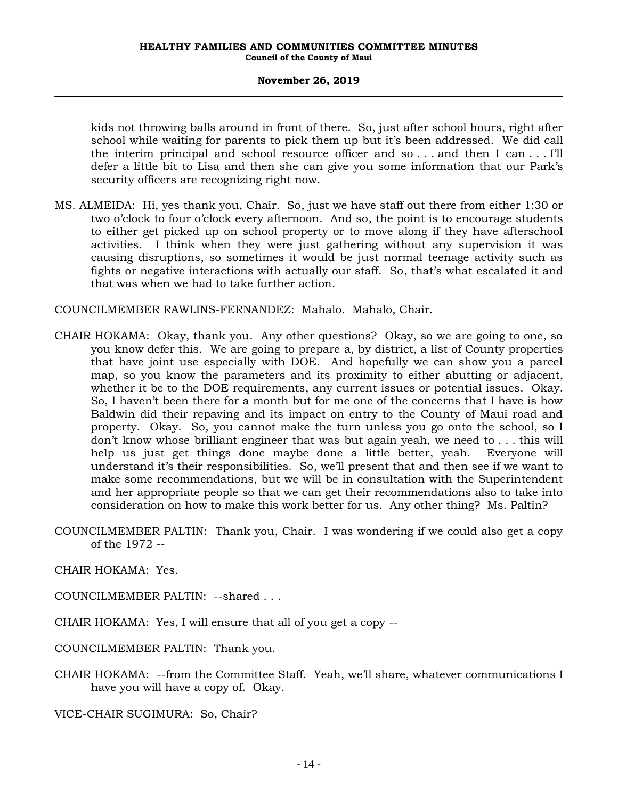kids not throwing balls around in front of there. So, just after school hours, right after school while waiting for parents to pick them up but it's been addressed. We did call the interim principal and school resource officer and so . . . and then I can . . . I'll defer a little bit to Lisa and then she can give you some information that our Park's security officers are recognizing right now.

MS. ALMEIDA: Hi, yes thank you, Chair. So, just we have staff out there from either 1:30 or two o'clock to four o'clock every afternoon. And so, the point is to encourage students to either get picked up on school property or to move along if they have afterschool activities. I think when they were just gathering without any supervision it was causing disruptions, so sometimes it would be just normal teenage activity such as fights or negative interactions with actually our staff. So, that's what escalated it and that was when we had to take further action.

COUNCILMEMBER RAWLINS-FERNANDEZ: Mahalo. Mahalo, Chair.

- CHAIR HOKAMA: Okay, thank you. Any other questions? Okay, so we are going to one, so you know defer this. We are going to prepare a, by district, a list of County properties that have joint use especially with DOE. And hopefully we can show you a parcel map, so you know the parameters and its proximity to either abutting or adjacent, whether it be to the DOE requirements, any current issues or potential issues. Okay. So, I haven't been there for a month but for me one of the concerns that I have is how Baldwin did their repaving and its impact on entry to the County of Maui road and property. Okay. So, you cannot make the turn unless you go onto the school, so I don't know whose brilliant engineer that was but again yeah, we need to . . . this will help us just get things done maybe done a little better, yeah. Everyone will understand it's their responsibilities. So, we'll present that and then see if we want to make some recommendations, but we will be in consultation with the Superintendent and her appropriate people so that we can get their recommendations also to take into consideration on how to make this work better for us. Any other thing? Ms. Paltin?
- COUNCILMEMBER PALTIN: Thank you, Chair. I was wondering if we could also get a copy of the 1972 --

CHAIR HOKAMA: Yes.

- COUNCILMEMBER PALTIN: --shared . . .
- CHAIR HOKAMA: Yes, I will ensure that all of you get a copy --

COUNCILMEMBER PALTIN: Thank you.

CHAIR HOKAMA: --from the Committee Staff. Yeah, we'll share, whatever communications I have you will have a copy of. Okay.

VICE-CHAIR SUGIMURA: So, Chair?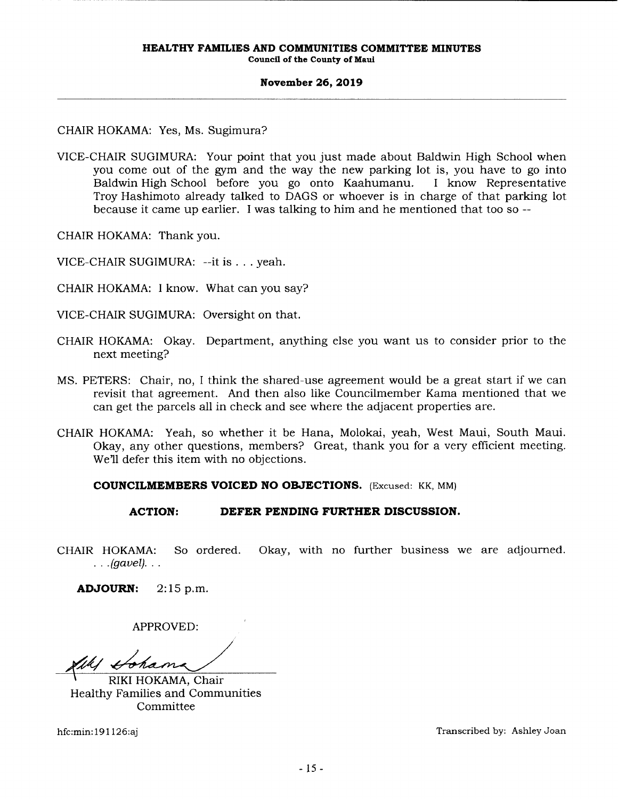**Council of the County of Maui** 

#### **November 26, 2019**

## CHAIR HOKAMA: Yes, Ms. Sugimura?

VICE-CHAIR SUGIMURA: Your point that you just made about Baldwin High School when you come out of the gym and the way the new parking lot is, you have to go into Baldwin High School before you go onto Kaahumanu. I know Representative Troy Hashimoto already talked to DAGS or whoever is in charge of that parking lot because it came up earlier. I was talking to him and he mentioned that too so--

CHAIR HOKAMA: Thank you.

VICE-CHAIR SUGIMURA: --it is ... yeah.

CHAIR HOKAMA: I know. What can you say?

VICE-CHAIR SUGIMURA: Oversight on that.

- CHAIR HOKAMA: Okay. Department, anything else you want us to consider prior to the next meeting?
- MS. PETERS: Chair, no, I think the shared-use agreement would be a great start if we can revisit that agreement. And then also like Councilmember Kama mentioned that we can get the parcels all in check and see where the adjacent properties are.
- CHAIR HOKAMA: Yeah, so whether it be Hana, Molokai, yeah, West Maui, South Maui. Okay, any other questions, members? Great, thank you for a very efficient meeting. We'll defer this item with no objections.

### **COUNCILMEMBERS VOICED NO OBJECTIONS.** (Excused: KK, MM)

## **ACTION: DEFER PENDING FURTHER DISCUSSION.**

CHAIR HOKAMA: So ordered. Okay, with no further business we are adjourned.  $.$  .  $(gavel)$ . . .

**ADJOURN:** 2:15 p.m.

APPROVED:

~~ Healthy Families and Communities

Committee

hfc:min: 191126:aj Transcribed by: Ashley Joan